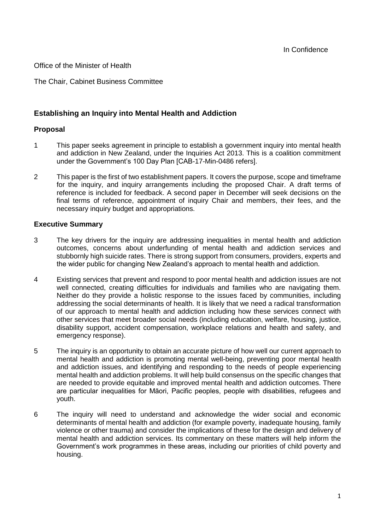Office of the Minister of Health

The Chair, Cabinet Business Committee

## **Establishing an Inquiry into Mental Health and Addiction**

### **Proposal**

- 1 This paper seeks agreement in principle to establish a government inquiry into mental health and addiction in New Zealand, under the Inquiries Act 2013. This is a coalition commitment under the Government's 100 Day Plan [CAB-17-Min-0486 refers].
- 2 This paper is the first of two establishment papers. It covers the purpose, scope and timeframe for the inquiry, and inquiry arrangements including the proposed Chair. A draft terms of reference is included for feedback. A second paper in December will seek decisions on the final terms of reference, appointment of inquiry Chair and members, their fees, and the necessary inquiry budget and appropriations.

### **Executive Summary**

- 3 The key drivers for the inquiry are addressing inequalities in mental health and addiction outcomes, concerns about underfunding of mental health and addiction services and stubbornly high suicide rates. There is strong support from consumers, providers, experts and the wider public for changing New Zealand's approach to mental health and addiction.
- 4 Existing services that prevent and respond to poor mental health and addiction issues are not well connected, creating difficulties for individuals and families who are navigating them. Neither do they provide a holistic response to the issues faced by communities, including addressing the social determinants of health. It is likely that we need a radical transformation of our approach to mental health and addiction including how these services connect with other services that meet broader social needs (including education, welfare, housing, justice, disability support, accident compensation, workplace relations and health and safety, and emergency response).
- 5 The inquiry is an opportunity to obtain an accurate picture of how well our current approach to mental health and addiction is promoting mental well-being, preventing poor mental health and addiction issues, and identifying and responding to the needs of people experiencing mental health and addiction problems. It will help build consensus on the specific changes that are needed to provide equitable and improved mental health and addiction outcomes. There are particular inequalities for Māori, Pacific peoples, people with disabilities, refugees and youth.
- 6 The inquiry will need to understand and acknowledge the wider social and economic determinants of mental health and addiction (for example poverty, inadequate housing, family violence or other trauma) and consider the implications of these for the design and delivery of mental health and addiction services. Its commentary on these matters will help inform the Government's work programmes in these areas, including our priorities of child poverty and housing.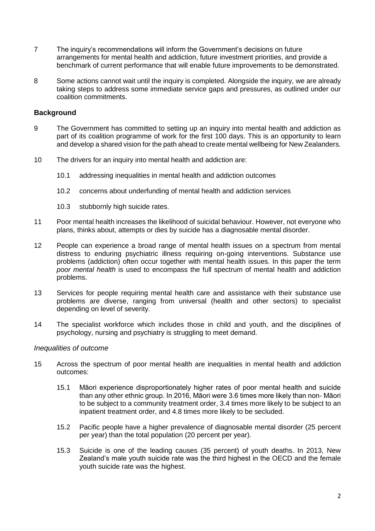- 7 The inquiry's recommendations will inform the Government's decisions on future arrangements for mental health and addiction, future investment priorities, and provide a benchmark of current performance that will enable future improvements to be demonstrated.
- 8 Some actions cannot wait until the inquiry is completed. Alongside the inquiry, we are already taking steps to address some immediate service gaps and pressures, as outlined under our coalition commitments.

#### **Background**

- 9 The Government has committed to setting up an inquiry into mental health and addiction as part of its coalition programme of work for the first 100 days. This is an opportunity to learn and develop a shared vision for the path ahead to create mental wellbeing for New Zealanders.
- 10 The drivers for an inquiry into mental health and addiction are:
	- 10.1 addressing inequalities in mental health and addiction outcomes
	- 10.2 concerns about underfunding of mental health and addiction services
	- 10.3 stubbornly high suicide rates.
- 11 Poor mental health increases the likelihood of suicidal behaviour. However, not everyone who plans, thinks about, attempts or dies by suicide has a diagnosable mental disorder.
- 12 People can experience a broad range of mental health issues on a spectrum from mental distress to enduring psychiatric illness requiring on-going interventions. Substance use problems (addiction) often occur together with mental health issues. In this paper the term *poor mental health* is used to encompass the full spectrum of mental health and addiction problems.
- 13 Services for people requiring mental health care and assistance with their substance use problems are diverse, ranging from universal (health and other sectors) to specialist depending on level of severity.
- 14 The specialist workforce which includes those in child and youth, and the disciplines of psychology, nursing and psychiatry is struggling to meet demand.

#### *Inequalities of outcome*

- 15 Across the spectrum of poor mental health are inequalities in mental health and addiction outcomes:
	- 15.1 Māori experience disproportionately higher rates of poor mental health and suicide than any other ethnic group. In 2016, Māori were 3.6 times more likely than non- Māori to be subject to a community treatment order, 3.4 times more likely to be subject to an inpatient treatment order, and 4.8 times more likely to be secluded.
	- 15.2 Pacific people have a higher prevalence of diagnosable mental disorder (25 percent per year) than the total population (20 percent per year).
	- 15.3 Suicide is one of the leading causes (35 percent) of youth deaths. In 2013, New Zealand's male youth suicide rate was the third highest in the OECD and the female youth suicide rate was the highest.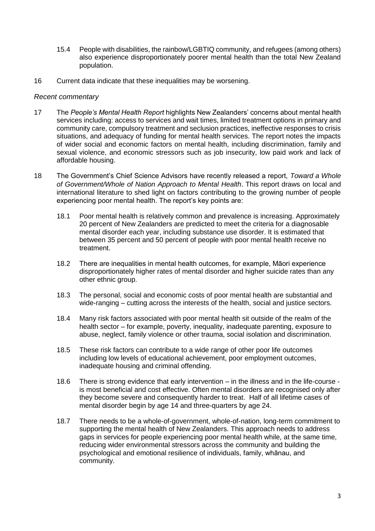- 15.4 People with disabilities, the rainbow/LGBTIQ community, and refugees (among others) also experience disproportionately poorer mental health than the total New Zealand population.
- 16 Current data indicate that these inequalities may be worsening.

### *Recent commentary*

- 17 The *People's Mental Health Report* highlights New Zealanders' concerns about mental health services including: access to services and wait times, limited treatment options in primary and community care, compulsory treatment and seclusion practices, ineffective responses to crisis situations, and adequacy of funding for mental health services. The report notes the impacts of wider social and economic factors on mental health, including discrimination, family and sexual violence, and economic stressors such as job insecurity, low paid work and lack of affordable housing.
- 18 The Government's Chief Science Advisors have recently released a report, *Toward a Whole of Government/Whole of Nation Approach to Mental Health*. This report draws on local and international literature to shed light on factors contributing to the growing number of people experiencing poor mental health. The report's key points are:
	- 18.1 Poor mental health is relatively common and prevalence is increasing. Approximately 20 percent of New Zealanders are predicted to meet the criteria for a diagnosable mental disorder each year, including substance use disorder. It is estimated that between 35 percent and 50 percent of people with poor mental health receive no treatment.
	- 18.2 There are inequalities in mental health outcomes, for example, Māori experience disproportionately higher rates of mental disorder and higher suicide rates than any other ethnic group.
	- 18.3 The personal, social and economic costs of poor mental health are substantial and wide-ranging – cutting across the interests of the health, social and justice sectors.
	- 18.4 Many risk factors associated with poor mental health sit outside of the realm of the health sector – for example, poverty, inequality, inadequate parenting, exposure to abuse, neglect, family violence or other trauma, social isolation and discrimination.
	- 18.5 These risk factors can contribute to a wide range of other poor life outcomes including low levels of educational achievement, poor employment outcomes, inadequate housing and criminal offending.
	- 18.6 There is strong evidence that early intervention in the illness and in the life-course is most beneficial and cost effective. Often mental disorders are recognised only after they become severe and consequently harder to treat. Half of all lifetime cases of mental disorder begin by age 14 and three-quarters by age 24.
	- 18.7 There needs to be a whole-of-government, whole-of-nation, long-term commitment to supporting the mental health of New Zealanders. This approach needs to address gaps in services for people experiencing poor mental health while, at the same time, reducing wider environmental stressors across the community and building the psychological and emotional resilience of individuals, family, whānau, and community.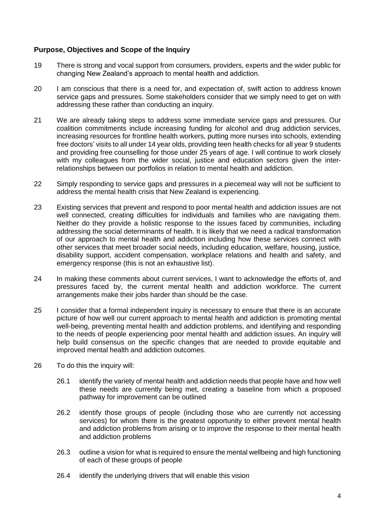### **Purpose, Objectives and Scope of the Inquiry**

- 19 There is strong and vocal support from consumers, providers, experts and the wider public for changing New Zealand's approach to mental health and addiction.
- 20 I am conscious that there is a need for, and expectation of, swift action to address known service gaps and pressures. Some stakeholders consider that we simply need to get on with addressing these rather than conducting an inquiry.
- 21 We are already taking steps to address some immediate service gaps and pressures. Our coalition commitments include increasing funding for alcohol and drug addiction services, increasing resources for frontline health workers, putting more nurses into schools, extending free doctors' visits to all under 14 year olds, providing teen health checks for all year 9 students and providing free counselling for those under 25 years of age. I will continue to work closely with my colleagues from the wider social, justice and education sectors given the interrelationships between our portfolios in relation to mental health and addiction.
- 22 Simply responding to service gaps and pressures in a piecemeal way will not be sufficient to address the mental health crisis that New Zealand is experiencing.
- 23 Existing services that prevent and respond to poor mental health and addiction issues are not well connected, creating difficulties for individuals and families who are navigating them. Neither do they provide a holistic response to the issues faced by communities, including addressing the social determinants of health. It is likely that we need a radical transformation of our approach to mental health and addiction including how these services connect with other services that meet broader social needs, including education, welfare, housing, justice, disability support, accident compensation, workplace relations and health and safety, and emergency response (this is not an exhaustive list).
- 24 In making these comments about current services, I want to acknowledge the efforts of, and pressures faced by, the current mental health and addiction workforce. The current arrangements make their jobs harder than should be the case.
- 25 I consider that a formal independent inquiry is necessary to ensure that there is an accurate picture of how well our current approach to mental health and addiction is promoting mental well-being, preventing mental health and addiction problems, and identifying and responding to the needs of people experiencing poor mental health and addiction issues. An inquiry will help build consensus on the specific changes that are needed to provide equitable and improved mental health and addiction outcomes.
- 26 To do this the inquiry will:
	- 26.1 identify the variety of mental health and addiction needs that people have and how well these needs are currently being met, creating a baseline from which a proposed pathway for improvement can be outlined
	- 26.2 identify those groups of people (including those who are currently not accessing services) for whom there is the greatest opportunity to either prevent mental health and addiction problems from arising or to improve the response to their mental health and addiction problems
	- 26.3 outline a vision for what is required to ensure the mental wellbeing and high functioning of each of these groups of people
	- 26.4 identify the underlying drivers that will enable this vision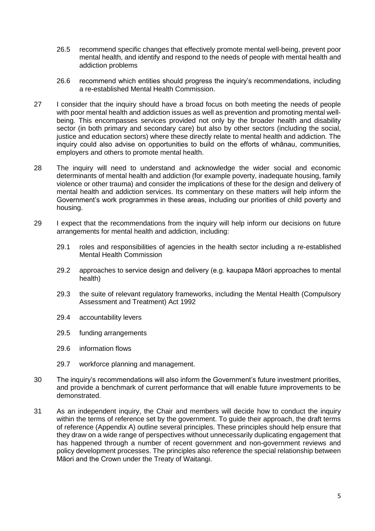- 26.5 recommend specific changes that effectively promote mental well-being, prevent poor mental health, and identify and respond to the needs of people with mental health and addiction problems
- 26.6 recommend which entities should progress the inquiry's recommendations, including a re-established Mental Health Commission.
- 27 I consider that the inquiry should have a broad focus on both meeting the needs of people with poor mental health and addiction issues as well as prevention and promoting mental wellbeing. This encompasses services provided not only by the broader health and disability sector (in both primary and secondary care) but also by other sectors (including the social, justice and education sectors) where these directly relate to mental health and addiction. The inquiry could also advise on opportunities to build on the efforts of whānau, communities, employers and others to promote mental health.
- 28 The inquiry will need to understand and acknowledge the wider social and economic determinants of mental health and addiction (for example poverty, inadequate housing, family violence or other trauma) and consider the implications of these for the design and delivery of mental health and addiction services. Its commentary on these matters will help inform the Government's work programmes in these areas, including our priorities of child poverty and housing.
- 29 I expect that the recommendations from the inquiry will help inform our decisions on future arrangements for mental health and addiction, including:
	- 29.1 roles and responsibilities of agencies in the health sector including a re-established Mental Health Commission
	- 29.2 approaches to service design and delivery (e.g. kaupapa Māori approaches to mental health)
	- 29.3 the suite of relevant regulatory frameworks, including the Mental Health (Compulsory Assessment and Treatment) Act 1992
	- 29.4 accountability levers
	- 29.5 funding arrangements
	- 29.6 information flows
	- 29.7 workforce planning and management.
- 30 The inquiry's recommendations will also inform the Government's future investment priorities, and provide a benchmark of current performance that will enable future improvements to be demonstrated.
- 31 As an independent inquiry, the Chair and members will decide how to conduct the inquiry within the terms of reference set by the government. To guide their approach, the draft terms of reference (Appendix A) outline several principles. These principles should help ensure that they draw on a wide range of perspectives without unnecessarily duplicating engagement that has happened through a number of recent government and non-government reviews and policy development processes. The principles also reference the special relationship between Māori and the Crown under the Treaty of Waitangi.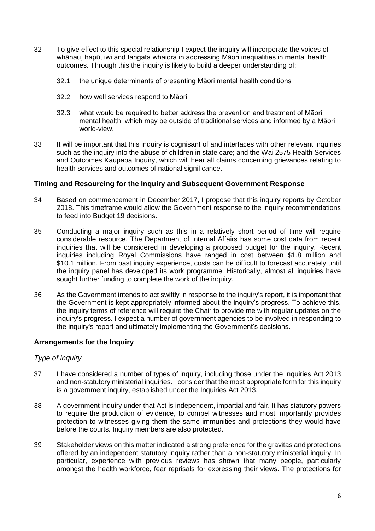- 32 To give effect to this special relationship I expect the inquiry will incorporate the voices of whānau, hapū, iwi and tangata whaiora in addressing Māori inequalities in mental health outcomes. Through this the inquiry is likely to build a deeper understanding of:
	- 32.1 the unique determinants of presenting Māori mental health conditions
	- 32.2 how well services respond to Māori
	- 32.3 what would be required to better address the prevention and treatment of Māori mental health, which may be outside of traditional services and informed by a Māori world-view.
- 33 It will be important that this inquiry is cognisant of and interfaces with other relevant inquiries such as the inquiry into the abuse of children in state care; and the Wai 2575 Health Services and Outcomes Kaupapa Inquiry, which will hear all claims concerning grievances relating to health services and outcomes of national significance.

### **Timing and Resourcing for the Inquiry and Subsequent Government Response**

- 34 Based on commencement in December 2017, I propose that this inquiry reports by October 2018. This timeframe would allow the Government response to the inquiry recommendations to feed into Budget 19 decisions.
- 35 Conducting a major inquiry such as this in a relatively short period of time will require considerable resource. The Department of Internal Affairs has some cost data from recent inquiries that will be considered in developing a proposed budget for the inquiry. Recent inquiries including Royal Commissions have ranged in cost between \$1.8 million and \$10.1 million. From past inquiry experience, costs can be difficult to forecast accurately until the inquiry panel has developed its work programme. Historically, almost all inquiries have sought further funding to complete the work of the inquiry.
- 36 As the Government intends to act swiftly in response to the inquiry's report, it is important that the Government is kept appropriately informed about the inquiry's progress. To achieve this, the inquiry terms of reference will require the Chair to provide me with regular updates on the inquiry's progress. I expect a number of government agencies to be involved in responding to the inquiry's report and ultimately implementing the Government's decisions.

### **Arrangements for the Inquiry**

### *Type of inquiry*

- 37 I have considered a number of types of inquiry, including those under the Inquiries Act 2013 and non-statutory ministerial inquiries. I consider that the most appropriate form for this inquiry is a government inquiry, established under the Inquiries Act 2013.
- 38 A government inquiry under that Act is independent, impartial and fair. It has statutory powers to require the production of evidence, to compel witnesses and most importantly provides protection to witnesses giving them the same immunities and protections they would have before the courts. Inquiry members are also protected.
- 39 Stakeholder views on this matter indicated a strong preference for the gravitas and protections offered by an independent statutory inquiry rather than a non-statutory ministerial inquiry. In particular, experience with previous reviews has shown that many people, particularly amongst the health workforce, fear reprisals for expressing their views. The protections for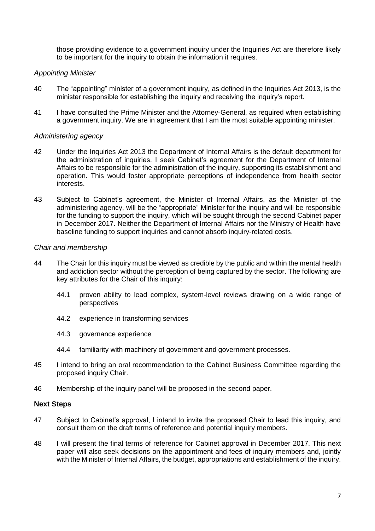those providing evidence to a government inquiry under the Inquiries Act are therefore likely to be important for the inquiry to obtain the information it requires.

#### *Appointing Minister*

- 40 The "appointing" minister of a government inquiry, as defined in the Inquiries Act 2013, is the minister responsible for establishing the inquiry and receiving the inquiry's report.
- 41 I have consulted the Prime Minister and the Attorney-General, as required when establishing a government inquiry. We are in agreement that I am the most suitable appointing minister.

#### *Administering agency*

- 42 Under the Inquiries Act 2013 the Department of Internal Affairs is the default department for the administration of inquiries. I seek Cabinet's agreement for the Department of Internal Affairs to be responsible for the administration of the inquiry, supporting its establishment and operation. This would foster appropriate perceptions of independence from health sector interests.
- 43 Subject to Cabinet's agreement, the Minister of Internal Affairs, as the Minister of the administering agency, will be the "appropriate" Minister for the inquiry and will be responsible for the funding to support the inquiry, which will be sought through the second Cabinet paper in December 2017. Neither the Department of Internal Affairs nor the Ministry of Health have baseline funding to support inquiries and cannot absorb inquiry-related costs.

#### *Chair and membership*

- 44 The Chair for this inquiry must be viewed as credible by the public and within the mental health and addiction sector without the perception of being captured by the sector. The following are key attributes for the Chair of this inquiry:
	- 44.1 proven ability to lead complex, system-level reviews drawing on a wide range of perspectives
	- 44.2 experience in transforming services
	- 44.3 governance experience
	- 44.4 familiarity with machinery of government and government processes.
- 45 I intend to bring an oral recommendation to the Cabinet Business Committee regarding the proposed inquiry Chair.
- 46 Membership of the inquiry panel will be proposed in the second paper.

### **Next Steps**

- 47 Subject to Cabinet's approval, I intend to invite the proposed Chair to lead this inquiry, and consult them on the draft terms of reference and potential inquiry members.
- 48 I will present the final terms of reference for Cabinet approval in December 2017. This next paper will also seek decisions on the appointment and fees of inquiry members and, jointly with the Minister of Internal Affairs, the budget, appropriations and establishment of the inquiry.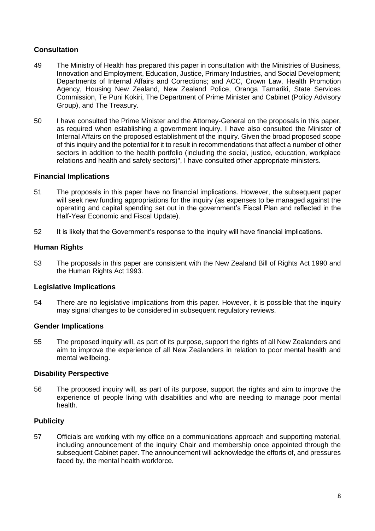## **Consultation**

- 49 The Ministry of Health has prepared this paper in consultation with the Ministries of Business, Innovation and Employment, Education, Justice, Primary Industries, and Social Development; Departments of Internal Affairs and Corrections; and ACC, Crown Law, Health Promotion Agency, Housing New Zealand, New Zealand Police, Oranga Tamariki, State Services Commission, Te Puni Kokiri, The Department of Prime Minister and Cabinet (Policy Advisory Group), and The Treasury.
- 50 I have consulted the Prime Minister and the Attorney-General on the proposals in this paper, as required when establishing a government inquiry. I have also consulted the Minister of Internal Affairs on the proposed establishment of the inquiry. Given the broad proposed scope of this inquiry and the potential for it to result in recommendations that affect a number of other sectors in addition to the health portfolio (including the social, justice, education, workplace relations and health and safety sectors)", I have consulted other appropriate ministers.

#### **Financial Implications**

- 51 The proposals in this paper have no financial implications. However, the subsequent paper will seek new funding appropriations for the inquiry (as expenses to be managed against the operating and capital spending set out in the government's Fiscal Plan and reflected in the Half-Year Economic and Fiscal Update).
- 52 It is likely that the Government's response to the inquiry will have financial implications.

### **Human Rights**

53 The proposals in this paper are consistent with the New Zealand Bill of Rights Act 1990 and the Human Rights Act 1993.

### **Legislative Implications**

54 There are no legislative implications from this paper. However, it is possible that the inquiry may signal changes to be considered in subsequent regulatory reviews.

#### **Gender Implications**

55 The proposed inquiry will, as part of its purpose, support the rights of all New Zealanders and aim to improve the experience of all New Zealanders in relation to poor mental health and mental wellbeing.

#### **Disability Perspective**

56 The proposed inquiry will, as part of its purpose, support the rights and aim to improve the experience of people living with disabilities and who are needing to manage poor mental health.

### **Publicity**

57 Officials are working with my office on a communications approach and supporting material, including announcement of the inquiry Chair and membership once appointed through the subsequent Cabinet paper. The announcement will acknowledge the efforts of, and pressures faced by, the mental health workforce.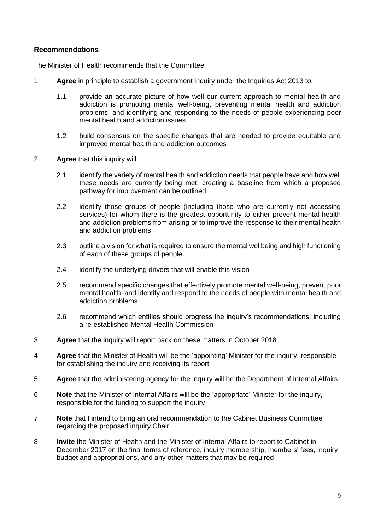### **Recommendations**

The Minister of Health recommends that the Committee

- 1 **Agree** in principle to establish a government inquiry under the Inquiries Act 2013 to:
	- 1.1 provide an accurate picture of how well our current approach to mental health and addiction is promoting mental well-being, preventing mental health and addiction problems, and identifying and responding to the needs of people experiencing poor mental health and addiction issues
	- 1.2 build consensus on the specific changes that are needed to provide equitable and improved mental health and addiction outcomes
- 2 **Agree** that this inquiry will:
	- 2.1 identify the variety of mental health and addiction needs that people have and how well these needs are currently being met, creating a baseline from which a proposed pathway for improvement can be outlined
	- 2.2 identify those groups of people (including those who are currently not accessing services) for whom there is the greatest opportunity to either prevent mental health and addiction problems from arising or to improve the response to their mental health and addiction problems
	- 2.3 outline a vision for what is required to ensure the mental wellbeing and high functioning of each of these groups of people
	- 2.4 identify the underlying drivers that will enable this vision
	- 2.5 recommend specific changes that effectively promote mental well-being, prevent poor mental health, and identify and respond to the needs of people with mental health and addiction problems
	- 2.6 recommend which entities should progress the inquiry's recommendations, including a re-established Mental Health Commission
- 3 **Agree** that the inquiry will report back on these matters in October 2018
- 4 **Agree** that the Minister of Health will be the 'appointing' Minister for the inquiry, responsible for establishing the inquiry and receiving its report
- 5 **Agree** that the administering agency for the inquiry will be the Department of Internal Affairs
- 6 **Note** that the Minister of Internal Affairs will be the 'appropriate' Minister for the inquiry, responsible for the funding to support the inquiry
- 7 **Note** that I intend to bring an oral recommendation to the Cabinet Business Committee regarding the proposed inquiry Chair
- 8 **Invite** the Minister of Health and the Minister of Internal Affairs to report to Cabinet in December 2017 on the final terms of reference, inquiry membership, members' fees, inquiry budget and appropriations, and any other matters that may be required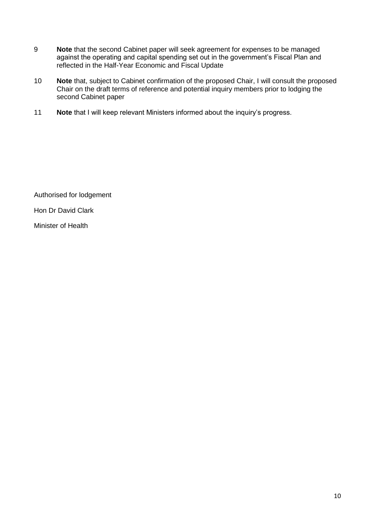- 9 **Note** that the second Cabinet paper will seek agreement for expenses to be managed against the operating and capital spending set out in the government's Fiscal Plan and reflected in the Half-Year Economic and Fiscal Update
- 10 **Note** that, subject to Cabinet confirmation of the proposed Chair, I will consult the proposed Chair on the draft terms of reference and potential inquiry members prior to lodging the second Cabinet paper
- 11 **Note** that I will keep relevant Ministers informed about the inquiry's progress.

Authorised for lodgement

Hon Dr David Clark

Minister of Health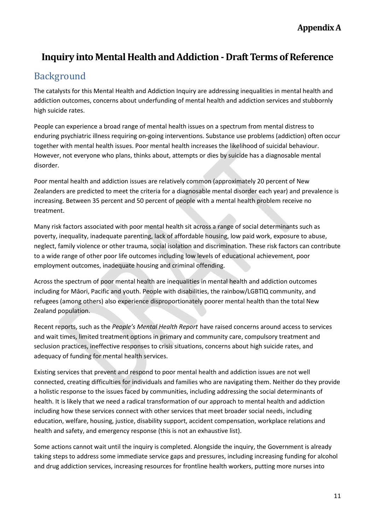# **Inquiry into Mental Health and Addiction - Draft Terms of Reference**

## Background

The catalysts for this Mental Health and Addiction Inquiry are addressing inequalities in mental health and addiction outcomes, concerns about underfunding of mental health and addiction services and stubbornly high suicide rates.

People can experience a broad range of mental health issues on a spectrum from mental distress to enduring psychiatric illness requiring on-going interventions. Substance use problems (addiction) often occur together with mental health issues. Poor mental health increases the likelihood of suicidal behaviour. However, not everyone who plans, thinks about, attempts or dies by suicide has a diagnosable mental disorder.

Poor mental health and addiction issues are relatively common (approximately 20 percent of New Zealanders are predicted to meet the criteria for a diagnosable mental disorder each year) and prevalence is increasing. Between 35 percent and 50 percent of people with a mental health problem receive no treatment.

Many risk factors associated with poor mental health sit across a range of social determinants such as poverty, inequality, inadequate parenting, lack of affordable housing, low paid work, exposure to abuse, neglect, family violence or other trauma, social isolation and discrimination. These risk factors can contribute to a wide range of other poor life outcomes including low levels of educational achievement, poor employment outcomes, inadequate housing and criminal offending.

Across the spectrum of poor mental health are inequalities in mental health and addiction outcomes including for Māori, Pacific and youth. People with disabilities, the rainbow/LGBTIQ community, and refugees (among others) also experience disproportionately poorer mental health than the total New Zealand population.

Recent reports, such as the *People's Mental Health Report* have raised concerns around access to services and wait times, limited treatment options in primary and community care, compulsory treatment and seclusion practices, ineffective responses to crisis situations, concerns about high suicide rates, and adequacy of funding for mental health services.

Existing services that prevent and respond to poor mental health and addiction issues are not well connected, creating difficulties for individuals and families who are navigating them. Neither do they provide a holistic response to the issues faced by communities, including addressing the social determinants of health. It is likely that we need a radical transformation of our approach to mental health and addiction including how these services connect with other services that meet broader social needs, including education, welfare, housing, justice, disability support, accident compensation, workplace relations and health and safety, and emergency response (this is not an exhaustive list).

Some actions cannot wait until the inquiry is completed. Alongside the inquiry, the Government is already taking steps to address some immediate service gaps and pressures, including increasing funding for alcohol and drug addiction services, increasing resources for frontline health workers, putting more nurses into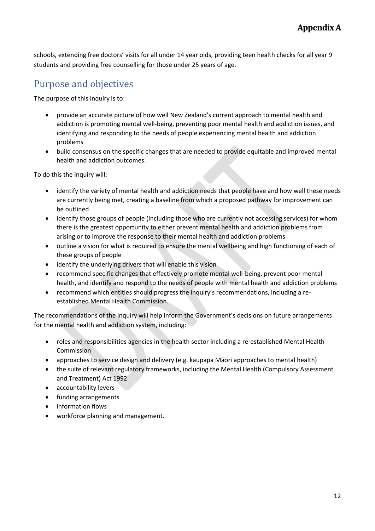schools, extending free doctors' visits for all under 14 year olds, providing teen health checks for all year 9 students and providing free counselling for those under 25 years of age.

# Purpose and objectives

The purpose of this inquiry is to:

- provide an accurate picture of how well New Zealand's current approach to mental health and addiction is promoting mental well-being, preventing poor mental health and addiction issues, and identifying and responding to the needs of people experiencing mental health and addiction problems
- build consensus on the specific changes that are needed to provide equitable and improved mental health and addiction outcomes.

To do this the inquiry will:

- identify the variety of mental health and addiction needs that people have and how well these needs are currently being met, creating a baseline from which a proposed pathway for improvement can be outlined
- identify those groups of people (including those who are currently not accessing services) for whom there is the greatest opportunity to either prevent mental health and addiction problems from arising or to improve the response to their mental health and addiction problems
- outline a vision for what is required to ensure the mental wellbeing and high functioning of each of these groups of people
- identify the underlying drivers that will enable this vision
- recommend specific changes that effectively promote mental well-being, prevent poor mental health, and identify and respond to the needs of people with mental health and addiction problems
- recommend which entities should progress the inquiry's recommendations, including a reestablished Mental Health Commission.

The recommendations of the inquiry will help inform the Government's decisions on future arrangements for the mental health and addiction system, including:

- roles and responsibilities agencies in the health sector including a re-established Mental Health Commission
- approaches to service design and delivery (e.g. kaupapa Māori approaches to mental health)
- the suite of relevant regulatory frameworks, including the Mental Health (Compulsory Assessment and Treatment) Act 1992
- accountability levers
- funding arrangements
- information flows
- workforce planning and management.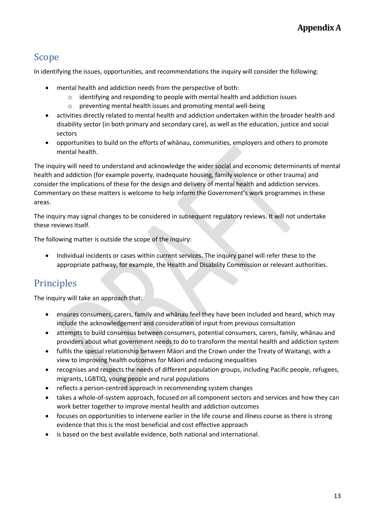## Scope

In identifying the issues, opportunities, and recommendations the inquiry will consider the following:

- mental health and addiction needs from the perspective of both:
	- o identifying and responding to people with mental health and addiction issues
	- o preventing mental health issues and promoting mental well-being
- activities directly related to mental health and addiction undertaken within the broader health and disability sector (in both primary and secondary care), as well as the education, justice and social sectors
- opportunities to build on the efforts of whānau, communities, employers and others to promote mental health.

The inquiry will need to understand and acknowledge the wider social and economic determinants of mental health and addiction (for example poverty, inadequate housing, family violence or other trauma) and consider the implications of these for the design and delivery of mental health and addiction services. Commentary on these matters is welcome to help inform the Government's work programmes in these areas.

The inquiry may signal changes to be considered in subsequent regulatory reviews. It will not undertake these reviews itself.

The following matter is outside the scope of the inquiry:

• Individual incidents or cases within current services. The inquiry panel will refer these to the appropriate pathway, for example, the Health and Disability Commission or relevant authorities.

# **Principles**

The inquiry will take an approach that:

- ensures consumers, carers, family and whānau feel they have been included and heard, which may include the acknowledgement and consideration of input from previous consultation
- attempts to build consensus between consumers, potential consumers, carers, family, whānau and providers about what government needs to do to transform the mental health and addiction system
- fulfils the special relationship between Māori and the Crown under the Treaty of Waitangi, with a view to improving health outcomes for Māori and reducing inequalities
- recognises and respects the needs of different population groups, including Pacific people, refugees, migrants, LGBTIQ, young people and rural populations
- reflects a person-centred approach in recommending system changes
- takes a whole-of-system approach, focused on all component sectors and services and how they can work better together to improve mental health and addiction outcomes
- focuses on opportunities to intervene earlier in the life course and illness course as there is strong evidence that this is the most beneficial and cost effective approach
- is based on the best available evidence, both national and international.